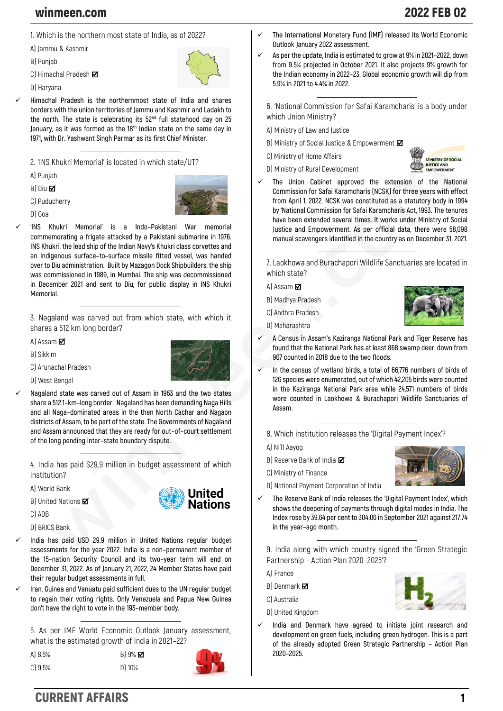## winmeen.com 2022 FEB 02

**B) Punjab**

- **C) Himachal Pradesh**
- **D) Haryana**

✓ **Himachal Pradesh is the northernmost state of India and shares borders with the union territories of Jammu and Kashmir and Ladakh to the north. The state is celebrating its 52nd full statehood day on 25 January, as it was formed as the 18th Indian state on the same day in 1971, with Dr. Yashwant Singh Parmar as its first Chief Minister.**

**2. 'INS Khukri Memorial' is located in which state/UT?**

**A) Punjab**

**B) Diu** 

**C) Puducherry**

**D) Goa**



✓ **'INS Khukri Memorial' is a Indo–Pakistani War memorial commemorating a frigate attacked by a Pakistani submarine in 1976. INS Khukri, the lead ship of the Indian Navy's Khukri class corvettes and an indigenous surface–to–surface missile fitted vessel, was handed over to Diu administration. Built by Mazagon Dock Shipbuilders, the ship was commissioned in 1989, in Mumbai. The ship was decommissioned in December 2021 and sent to Diu, for public display in INS Khukri Memorial.**

**3. Nagaland was carved out from which state, with which it shares a 512 km long border?**

**A) Assam** 

**B) Sikkim**



United --------<br>Nations

**D) West Bengal**

**C) Arunachal Pradesh**

✓ **Nagaland state was carved out of Assam in 1963 and the two states share a 512.1–km–long border. Nagaland has been demanding Naga Hills and all Naga–dominated areas in the then North Cachar and Nagaon districts of Assam, to be part of the state. The Governments of Nagaland and Assam announced that they are ready for out–of–court settlement of the long pending inter–state boundary dispute.**

**4. India has paid \$29.9 million in budget assessment of which institution?**

**A) World Bank**

**B) United Nations**

**C) ADB**

**D) BRICS Bank**

- ✓ **India has paid USD 29.9 million in United Nations regular budget assessments for the year 2022. India is a non–permanent member of the 15–nation Security Council and its two–year term will end on December 31, 2022. As of January 21, 2022, 24 Member States have paid their regular budget assessments in full.**
- ✓ **Iran, Guinea and Vanuatu paid sufficient dues to the UN regular budget to regain their voting rights. Only Venezuela and Papua New Guinea don't have the right to vote in the 193–member body.**

**5. As per IMF World Economic Outlook January assessment, what is the estimated growth of India in 2021–22?**

**A) 8.5% B) 9% C) 9.5% D) 10%**

- ✓ **The International Monetary Fund (IMF) released its World Economic Outlook January 2022 assessment.**
- ✓ **As per the update, India is estimated to grow at 9% in 2021–2022, down from 9.5% projected in October 2021. It also projects 9% growth for the Indian economy in 2022–23. Global economic growth will dip from 5.9% in 2021 to 4.4% in 2022.**

**6. 'National Commission for Safai Karamcharis' is a body under which Union Ministry?**

**A) Ministry of Law and Justice**

- **B) Ministry of Social Justice & Empowerment**
- **C) Ministry of Home Affairs**
- **D) Ministry of Rural Development**



The Union Cabinet approved the extension of the National **Commission for Safai Karamcharis (NCSK) for three years with effect from April 1, 2022. NCSK was constituted as a statutory body in 1994 by 'National Commission for Safai Karamcharis Act, 1993. The tenures have been extended several times. It works under Ministry of Social Justice and Empowerment. As per official data, there were 58,098 manual scavengers identified in the country as on December 31, 2021.**

**7. Laokhowa and Burachapori Wildlife Sanctuaries are located in which state?**

**A) Assam** 

**B) Madhya Pradesh**

**C) Andhra Pradesh**

**D) Maharashtra**



- ✓ **A Census in Assam's Kaziranga National Park and Tiger Reserve has found that the National Park has at least 868 swamp deer, down from 907 counted in 2018 due to the two floods.**
- In the census of wetland birds, a total of 66,776 numbers of birds of **126 species were enumerated, out of which 42,205 birds were counted in the Kaziranga National Park area while 24,571 numbers of birds were counted in Laokhowa & Burachapori Wildlife Sanctuaries of Assam.**
	- **8. Which institution releases the 'Digital Payment Index'?**
	- **A) NITI Aayog**
	- **B) Reserve Bank of India**
	- **C) Ministry of Finance**
	- **D) National Payment Corporation of India**
- ✓ **The Reserve Bank of India releases the 'Digital Payment Index', which shows the deepening of payments through digital modes in India. The Index rose by 39.64 per cent to 304.06 in September 2021 against 217.74 in the year–ago month.**

**9. India along with which country signed the 'Green Strategic Partnership – Action Plan 2020–2025'?**

**A) France**

- **B) Denmark**
- **C) Australia**
- **D) United Kingdom**
- ✓ **India and Denmark have agreed to initiate joint research and development on green fuels, including green hydrogen. This is a part of the already adopted Green Strategic Partnership – Action Plan 2020–2025.**